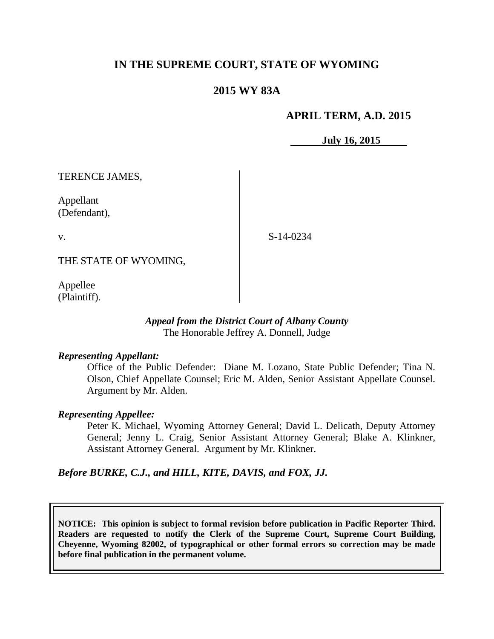# **IN THE SUPREME COURT, STATE OF WYOMING**

## **2015 WY 83A**

### **APRIL TERM, A.D. 2015**

**July 16, 2015**

TERENCE JAMES,

Appellant (Defendant),

v.

S-14-0234

THE STATE OF WYOMING,

Appellee (Plaintiff).

#### *Appeal from the District Court of Albany County* The Honorable Jeffrey A. Donnell, Judge

### *Representing Appellant:*

Office of the Public Defender: Diane M. Lozano, State Public Defender; Tina N. Olson, Chief Appellate Counsel; Eric M. Alden, Senior Assistant Appellate Counsel. Argument by Mr. Alden.

### *Representing Appellee:*

Peter K. Michael, Wyoming Attorney General; David L. Delicath, Deputy Attorney General; Jenny L. Craig, Senior Assistant Attorney General; Blake A. Klinkner, Assistant Attorney General. Argument by Mr. Klinkner.

*Before BURKE, C.J., and HILL, KITE, DAVIS, and FOX, JJ.*

**NOTICE: This opinion is subject to formal revision before publication in Pacific Reporter Third. Readers are requested to notify the Clerk of the Supreme Court, Supreme Court Building, Cheyenne, Wyoming 82002, of typographical or other formal errors so correction may be made before final publication in the permanent volume.**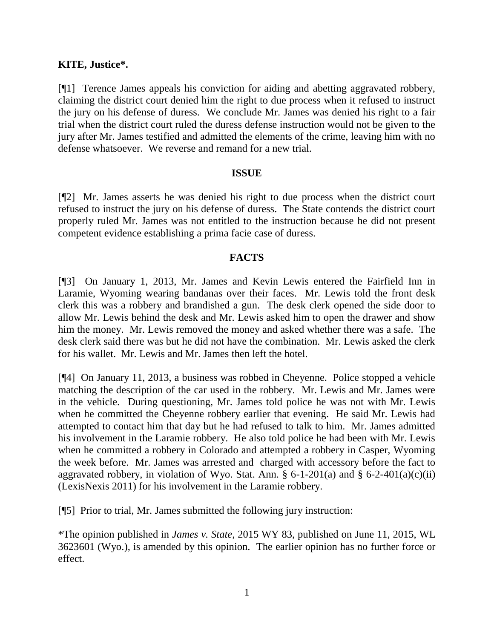### **KITE, Justice\*.**

[¶1] Terence James appeals his conviction for aiding and abetting aggravated robbery, claiming the district court denied him the right to due process when it refused to instruct the jury on his defense of duress. We conclude Mr. James was denied his right to a fair trial when the district court ruled the duress defense instruction would not be given to the jury after Mr. James testified and admitted the elements of the crime, leaving him with no defense whatsoever. We reverse and remand for a new trial.

### **ISSUE**

[¶2] Mr. James asserts he was denied his right to due process when the district court refused to instruct the jury on his defense of duress. The State contends the district court properly ruled Mr. James was not entitled to the instruction because he did not present competent evidence establishing a prima facie case of duress.

### **FACTS**

[¶3] On January 1, 2013, Mr. James and Kevin Lewis entered the Fairfield Inn in Laramie, Wyoming wearing bandanas over their faces. Mr. Lewis told the front desk clerk this was a robbery and brandished a gun. The desk clerk opened the side door to allow Mr. Lewis behind the desk and Mr. Lewis asked him to open the drawer and show him the money. Mr. Lewis removed the money and asked whether there was a safe. The desk clerk said there was but he did not have the combination. Mr. Lewis asked the clerk for his wallet. Mr. Lewis and Mr. James then left the hotel.

[¶4] On January 11, 2013, a business was robbed in Cheyenne. Police stopped a vehicle matching the description of the car used in the robbery. Mr. Lewis and Mr. James were in the vehicle. During questioning, Mr. James told police he was not with Mr. Lewis when he committed the Cheyenne robbery earlier that evening. He said Mr. Lewis had attempted to contact him that day but he had refused to talk to him. Mr. James admitted his involvement in the Laramie robbery. He also told police he had been with Mr. Lewis when he committed a robbery in Colorado and attempted a robbery in Casper, Wyoming the week before. Mr. James was arrested and charged with accessory before the fact to aggravated robbery, in violation of Wyo. Stat. Ann. § 6-1-201(a) and § 6-2-401(a)(c)(ii) (LexisNexis 2011) for his involvement in the Laramie robbery.

[¶5] Prior to trial, Mr. James submitted the following jury instruction:

\*The opinion published in *James v. State*, 2015 WY 83, published on June 11, 2015, WL 3623601 (Wyo.), is amended by this opinion. The earlier opinion has no further force or effect.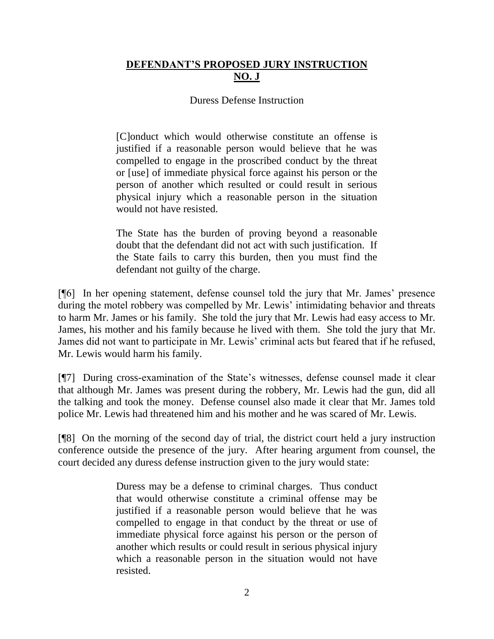# **DEFENDANT'S PROPOSED JURY INSTRUCTION NO. J**

# Duress Defense Instruction

[C]onduct which would otherwise constitute an offense is justified if a reasonable person would believe that he was compelled to engage in the proscribed conduct by the threat or [use] of immediate physical force against his person or the person of another which resulted or could result in serious physical injury which a reasonable person in the situation would not have resisted.

The State has the burden of proving beyond a reasonable doubt that the defendant did not act with such justification. If the State fails to carry this burden, then you must find the defendant not guilty of the charge.

[¶6] In her opening statement, defense counsel told the jury that Mr. James' presence during the motel robbery was compelled by Mr. Lewis' intimidating behavior and threats to harm Mr. James or his family. She told the jury that Mr. Lewis had easy access to Mr. James, his mother and his family because he lived with them. She told the jury that Mr. James did not want to participate in Mr. Lewis' criminal acts but feared that if he refused, Mr. Lewis would harm his family.

[¶7] During cross-examination of the State's witnesses, defense counsel made it clear that although Mr. James was present during the robbery, Mr. Lewis had the gun, did all the talking and took the money. Defense counsel also made it clear that Mr. James told police Mr. Lewis had threatened him and his mother and he was scared of Mr. Lewis.

[¶8] On the morning of the second day of trial, the district court held a jury instruction conference outside the presence of the jury. After hearing argument from counsel, the court decided any duress defense instruction given to the jury would state:

> Duress may be a defense to criminal charges. Thus conduct that would otherwise constitute a criminal offense may be justified if a reasonable person would believe that he was compelled to engage in that conduct by the threat or use of immediate physical force against his person or the person of another which results or could result in serious physical injury which a reasonable person in the situation would not have resisted.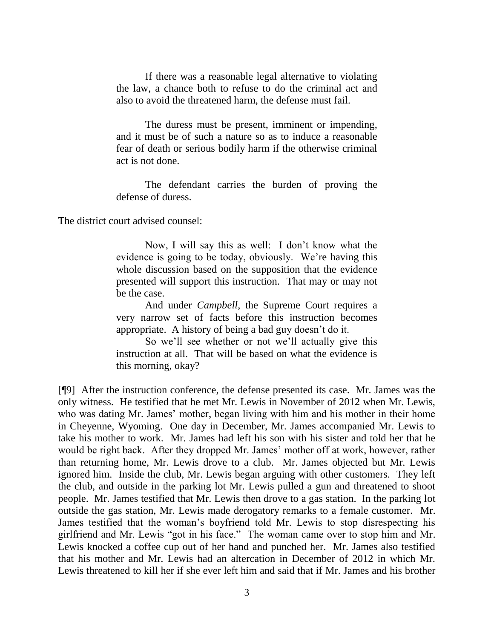If there was a reasonable legal alternative to violating the law, a chance both to refuse to do the criminal act and also to avoid the threatened harm, the defense must fail.

The duress must be present, imminent or impending, and it must be of such a nature so as to induce a reasonable fear of death or serious bodily harm if the otherwise criminal act is not done.

The defendant carries the burden of proving the defense of duress.

The district court advised counsel:

Now, I will say this as well: I don't know what the evidence is going to be today, obviously. We're having this whole discussion based on the supposition that the evidence presented will support this instruction. That may or may not be the case.

And under *Campbell*, the Supreme Court requires a very narrow set of facts before this instruction becomes appropriate. A history of being a bad guy doesn't do it.

So we'll see whether or not we'll actually give this instruction at all. That will be based on what the evidence is this morning, okay?

[¶9] After the instruction conference, the defense presented its case. Mr. James was the only witness. He testified that he met Mr. Lewis in November of 2012 when Mr. Lewis, who was dating Mr. James' mother, began living with him and his mother in their home in Cheyenne, Wyoming. One day in December, Mr. James accompanied Mr. Lewis to take his mother to work. Mr. James had left his son with his sister and told her that he would be right back. After they dropped Mr. James' mother off at work, however, rather than returning home, Mr. Lewis drove to a club. Mr. James objected but Mr. Lewis ignored him. Inside the club, Mr. Lewis began arguing with other customers. They left the club, and outside in the parking lot Mr. Lewis pulled a gun and threatened to shoot people. Mr. James testified that Mr. Lewis then drove to a gas station. In the parking lot outside the gas station, Mr. Lewis made derogatory remarks to a female customer. Mr. James testified that the woman's boyfriend told Mr. Lewis to stop disrespecting his girlfriend and Mr. Lewis "got in his face." The woman came over to stop him and Mr. Lewis knocked a coffee cup out of her hand and punched her. Mr. James also testified that his mother and Mr. Lewis had an altercation in December of 2012 in which Mr. Lewis threatened to kill her if she ever left him and said that if Mr. James and his brother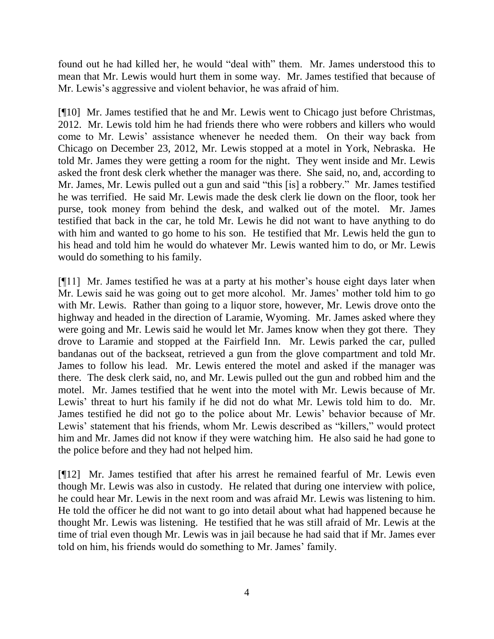found out he had killed her, he would "deal with" them. Mr. James understood this to mean that Mr. Lewis would hurt them in some way. Mr. James testified that because of Mr. Lewis's aggressive and violent behavior, he was afraid of him.

[¶10] Mr. James testified that he and Mr. Lewis went to Chicago just before Christmas, 2012. Mr. Lewis told him he had friends there who were robbers and killers who would come to Mr. Lewis' assistance whenever he needed them. On their way back from Chicago on December 23, 2012, Mr. Lewis stopped at a motel in York, Nebraska. He told Mr. James they were getting a room for the night. They went inside and Mr. Lewis asked the front desk clerk whether the manager was there. She said, no, and, according to Mr. James, Mr. Lewis pulled out a gun and said "this [is] a robbery." Mr. James testified he was terrified. He said Mr. Lewis made the desk clerk lie down on the floor, took her purse, took money from behind the desk, and walked out of the motel. Mr. James testified that back in the car, he told Mr. Lewis he did not want to have anything to do with him and wanted to go home to his son. He testified that Mr. Lewis held the gun to his head and told him he would do whatever Mr. Lewis wanted him to do, or Mr. Lewis would do something to his family.

[¶11] Mr. James testified he was at a party at his mother's house eight days later when Mr. Lewis said he was going out to get more alcohol. Mr. James' mother told him to go with Mr. Lewis. Rather than going to a liquor store, however, Mr. Lewis drove onto the highway and headed in the direction of Laramie, Wyoming. Mr. James asked where they were going and Mr. Lewis said he would let Mr. James know when they got there. They drove to Laramie and stopped at the Fairfield Inn. Mr. Lewis parked the car, pulled bandanas out of the backseat, retrieved a gun from the glove compartment and told Mr. James to follow his lead. Mr. Lewis entered the motel and asked if the manager was there. The desk clerk said, no, and Mr. Lewis pulled out the gun and robbed him and the motel. Mr. James testified that he went into the motel with Mr. Lewis because of Mr. Lewis' threat to hurt his family if he did not do what Mr. Lewis told him to do. Mr. James testified he did not go to the police about Mr. Lewis' behavior because of Mr. Lewis' statement that his friends, whom Mr. Lewis described as "killers," would protect him and Mr. James did not know if they were watching him. He also said he had gone to the police before and they had not helped him.

[¶12] Mr. James testified that after his arrest he remained fearful of Mr. Lewis even though Mr. Lewis was also in custody. He related that during one interview with police, he could hear Mr. Lewis in the next room and was afraid Mr. Lewis was listening to him. He told the officer he did not want to go into detail about what had happened because he thought Mr. Lewis was listening. He testified that he was still afraid of Mr. Lewis at the time of trial even though Mr. Lewis was in jail because he had said that if Mr. James ever told on him, his friends would do something to Mr. James' family.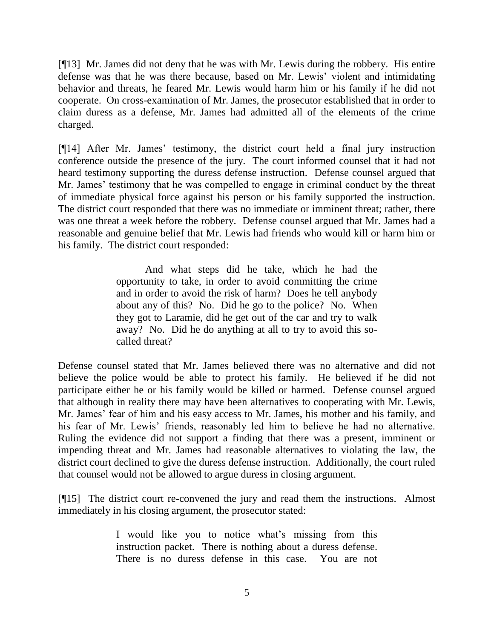[¶13] Mr. James did not deny that he was with Mr. Lewis during the robbery. His entire defense was that he was there because, based on Mr. Lewis' violent and intimidating behavior and threats, he feared Mr. Lewis would harm him or his family if he did not cooperate. On cross-examination of Mr. James, the prosecutor established that in order to claim duress as a defense, Mr. James had admitted all of the elements of the crime charged.

[¶14] After Mr. James' testimony, the district court held a final jury instruction conference outside the presence of the jury. The court informed counsel that it had not heard testimony supporting the duress defense instruction. Defense counsel argued that Mr. James' testimony that he was compelled to engage in criminal conduct by the threat of immediate physical force against his person or his family supported the instruction. The district court responded that there was no immediate or imminent threat; rather, there was one threat a week before the robbery. Defense counsel argued that Mr. James had a reasonable and genuine belief that Mr. Lewis had friends who would kill or harm him or his family. The district court responded:

> And what steps did he take, which he had the opportunity to take, in order to avoid committing the crime and in order to avoid the risk of harm? Does he tell anybody about any of this? No. Did he go to the police? No. When they got to Laramie, did he get out of the car and try to walk away? No. Did he do anything at all to try to avoid this socalled threat?

Defense counsel stated that Mr. James believed there was no alternative and did not believe the police would be able to protect his family. He believed if he did not participate either he or his family would be killed or harmed. Defense counsel argued that although in reality there may have been alternatives to cooperating with Mr. Lewis, Mr. James' fear of him and his easy access to Mr. James, his mother and his family, and his fear of Mr. Lewis' friends, reasonably led him to believe he had no alternative. Ruling the evidence did not support a finding that there was a present, imminent or impending threat and Mr. James had reasonable alternatives to violating the law, the district court declined to give the duress defense instruction. Additionally, the court ruled that counsel would not be allowed to argue duress in closing argument.

[¶15] The district court re-convened the jury and read them the instructions. Almost immediately in his closing argument, the prosecutor stated:

> I would like you to notice what's missing from this instruction packet. There is nothing about a duress defense. There is no duress defense in this case. You are not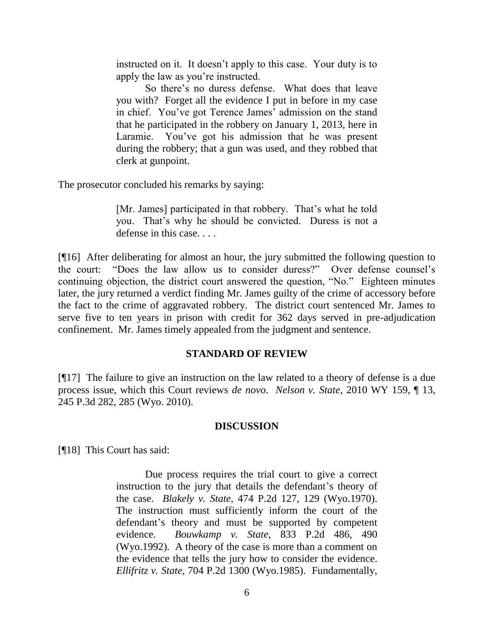instructed on it. It doesn't apply to this case. Your duty is to apply the law as you're instructed.

So there's no duress defense. What does that leave you with? Forget all the evidence I put in before in my case in chief. You've got Terence James' admission on the stand that he participated in the robbery on January 1, 2013, here in Laramie. You've got his admission that he was present during the robbery; that a gun was used, and they robbed that clerk at gunpoint.

The prosecutor concluded his remarks by saying:

[Mr. James] participated in that robbery. That's what he told you. That's why he should be convicted. Duress is not a defense in this case. . . .

[¶16] After deliberating for almost an hour, the jury submitted the following question to the court: "Does the law allow us to consider duress?" Over defense counsel's continuing objection, the district court answered the question, "No." Eighteen minutes later, the jury returned a verdict finding Mr. James guilty of the crime of accessory before the fact to the crime of aggravated robbery. The district court sentenced Mr. James to serve five to ten years in prison with credit for 362 days served in pre-adjudication confinement. Mr. James timely appealed from the judgment and sentence.

### **STANDARD OF REVIEW**

[¶17] The failure to give an instruction on the law related to a theory of defense is a due process issue, which this Court reviews *de novo*. *Nelson v. State*, 2010 WY 159, ¶ 13, 245 P.3d 282, 285 (Wyo. 2010).

#### **DISCUSSION**

[¶18] This Court has said:

Due process requires the trial court to give a correct instruction to the jury that details the defendant's theory of the case. *Blakely v. State*, 474 P.2d 127, 129 (Wyo.1970). The instruction must sufficiently inform the court of the defendant's theory and must be supported by competent evidence. *Bouwkamp v. State*, 833 P.2d 486, 490 (Wyo.1992). A theory of the case is more than a comment on the evidence that tells the jury how to consider the evidence. *Ellifritz v. State*, 704 P.2d 1300 (Wyo.1985). Fundamentally,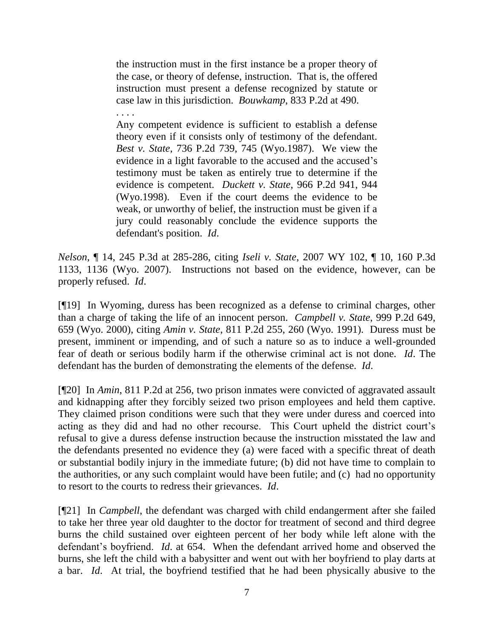the instruction must in the first instance be a proper theory of the case, or theory of defense, instruction. That is, the offered instruction must present a defense recognized by statute or case law in this jurisdiction. *Bouwkamp*, 833 P.2d at 490. . . . .

Any competent evidence is sufficient to establish a defense theory even if it consists only of testimony of the defendant. *Best v. State*, 736 P.2d 739, 745 (Wyo.1987). We view the evidence in a light favorable to the accused and the accused's testimony must be taken as entirely true to determine if the evidence is competent. *Duckett v. State*, 966 P.2d 941, 944 (Wyo.1998). Even if the court deems the evidence to be weak, or unworthy of belief, the instruction must be given if a jury could reasonably conclude the evidence supports the defendant's position. *Id*.

*Nelson*, ¶ 14, 245 P.3d at 285-286, citing *Iseli v. State*, 2007 WY 102, ¶ 10, 160 P.3d 1133, 1136 (Wyo. 2007). Instructions not based on the evidence, however, can be properly refused. *Id*.

[¶19] In Wyoming, duress has been recognized as a defense to criminal charges, other than a charge of taking the life of an innocent person. *Campbell v. State*, 999 P.2d 649, 659 (Wyo. 2000), citing *Amin v. State*, 811 P.2d 255, 260 (Wyo. 1991). Duress must be present, imminent or impending, and of such a nature so as to induce a well-grounded fear of death or serious bodily harm if the otherwise criminal act is not done. *Id*. The defendant has the burden of demonstrating the elements of the defense. *Id*.

[¶20] In *Amin*, 811 P.2d at 256, two prison inmates were convicted of aggravated assault and kidnapping after they forcibly seized two prison employees and held them captive. They claimed prison conditions were such that they were under duress and coerced into acting as they did and had no other recourse. This Court upheld the district court's refusal to give a duress defense instruction because the instruction misstated the law and the defendants presented no evidence they (a) were faced with a specific threat of death or substantial bodily injury in the immediate future; (b) did not have time to complain to the authorities, or any such complaint would have been futile; and (c) had no opportunity to resort to the courts to redress their grievances. *Id*.

[¶21] In *Campbell*, the defendant was charged with child endangerment after she failed to take her three year old daughter to the doctor for treatment of second and third degree burns the child sustained over eighteen percent of her body while left alone with the defendant's boyfriend. *Id*. at 654. When the defendant arrived home and observed the burns, she left the child with a babysitter and went out with her boyfriend to play darts at a bar. *Id*. At trial, the boyfriend testified that he had been physically abusive to the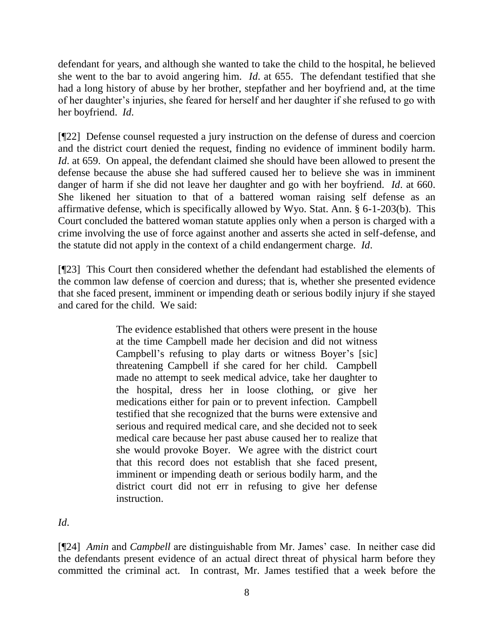defendant for years, and although she wanted to take the child to the hospital, he believed she went to the bar to avoid angering him. *Id*. at 655. The defendant testified that she had a long history of abuse by her brother, stepfather and her boyfriend and, at the time of her daughter's injuries, she feared for herself and her daughter if she refused to go with her boyfriend. *Id*.

[¶22] Defense counsel requested a jury instruction on the defense of duress and coercion and the district court denied the request, finding no evidence of imminent bodily harm. *Id*. at 659. On appeal, the defendant claimed she should have been allowed to present the defense because the abuse she had suffered caused her to believe she was in imminent danger of harm if she did not leave her daughter and go with her boyfriend. *Id*. at 660. She likened her situation to that of a battered woman raising self defense as an affirmative defense, which is specifically allowed by Wyo. Stat. Ann. § 6-1-203(b). This Court concluded the battered woman statute applies only when a person is charged with a crime involving the use of force against another and asserts she acted in self-defense, and the statute did not apply in the context of a child endangerment charge. *Id*.

[¶23] This Court then considered whether the defendant had established the elements of the common law defense of coercion and duress; that is, whether she presented evidence that she faced present, imminent or impending death or serious bodily injury if she stayed and cared for the child. We said:

> The evidence established that others were present in the house at the time Campbell made her decision and did not witness Campbell's refusing to play darts or witness Boyer's [sic] threatening Campbell if she cared for her child. Campbell made no attempt to seek medical advice, take her daughter to the hospital, dress her in loose clothing, or give her medications either for pain or to prevent infection. Campbell testified that she recognized that the burns were extensive and serious and required medical care, and she decided not to seek medical care because her past abuse caused her to realize that she would provoke Boyer. We agree with the district court that this record does not establish that she faced present, imminent or impending death or serious bodily harm, and the district court did not err in refusing to give her defense instruction.

*Id*.

[¶24] *Amin* and *Campbell* are distinguishable from Mr. James' case. In neither case did the defendants present evidence of an actual direct threat of physical harm before they committed the criminal act. In contrast, Mr. James testified that a week before the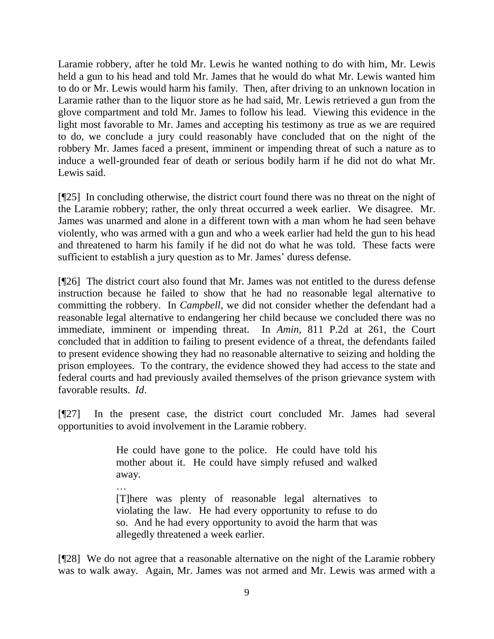Laramie robbery, after he told Mr. Lewis he wanted nothing to do with him, Mr. Lewis held a gun to his head and told Mr. James that he would do what Mr. Lewis wanted him to do or Mr. Lewis would harm his family. Then, after driving to an unknown location in Laramie rather than to the liquor store as he had said, Mr. Lewis retrieved a gun from the glove compartment and told Mr. James to follow his lead. Viewing this evidence in the light most favorable to Mr. James and accepting his testimony as true as we are required to do, we conclude a jury could reasonably have concluded that on the night of the robbery Mr. James faced a present, imminent or impending threat of such a nature as to induce a well-grounded fear of death or serious bodily harm if he did not do what Mr. Lewis said.

[¶25] In concluding otherwise, the district court found there was no threat on the night of the Laramie robbery; rather, the only threat occurred a week earlier. We disagree. Mr. James was unarmed and alone in a different town with a man whom he had seen behave violently, who was armed with a gun and who a week earlier had held the gun to his head and threatened to harm his family if he did not do what he was told. These facts were sufficient to establish a jury question as to Mr. James' duress defense.

[¶26] The district court also found that Mr. James was not entitled to the duress defense instruction because he failed to show that he had no reasonable legal alternative to committing the robbery. In *Campbell*, we did not consider whether the defendant had a reasonable legal alternative to endangering her child because we concluded there was no immediate, imminent or impending threat. In *Amin*, 811 P.2d at 261, the Court concluded that in addition to failing to present evidence of a threat, the defendants failed to present evidence showing they had no reasonable alternative to seizing and holding the prison employees. To the contrary, the evidence showed they had access to the state and federal courts and had previously availed themselves of the prison grievance system with favorable results. *Id*.

[¶27] In the present case, the district court concluded Mr. James had several opportunities to avoid involvement in the Laramie robbery.

> He could have gone to the police. He could have told his mother about it. He could have simply refused and walked away.

> … [T]here was plenty of reasonable legal alternatives to violating the law. He had every opportunity to refuse to do so. And he had every opportunity to avoid the harm that was allegedly threatened a week earlier.

[¶28] We do not agree that a reasonable alternative on the night of the Laramie robbery was to walk away. Again, Mr. James was not armed and Mr. Lewis was armed with a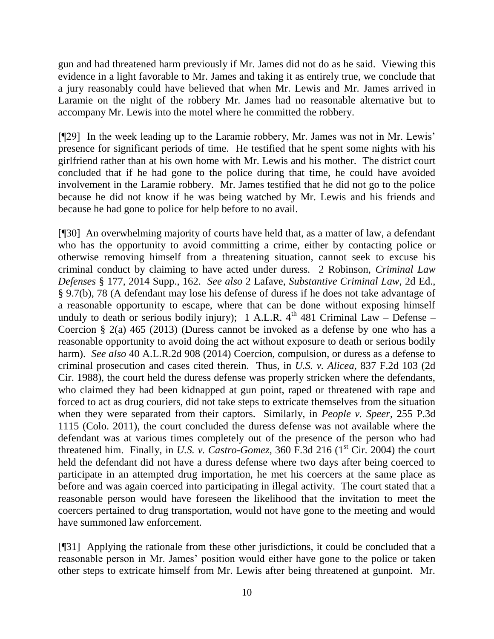gun and had threatened harm previously if Mr. James did not do as he said. Viewing this evidence in a light favorable to Mr. James and taking it as entirely true, we conclude that a jury reasonably could have believed that when Mr. Lewis and Mr. James arrived in Laramie on the night of the robbery Mr. James had no reasonable alternative but to accompany Mr. Lewis into the motel where he committed the robbery.

[¶29] In the week leading up to the Laramie robbery, Mr. James was not in Mr. Lewis' presence for significant periods of time. He testified that he spent some nights with his girlfriend rather than at his own home with Mr. Lewis and his mother. The district court concluded that if he had gone to the police during that time, he could have avoided involvement in the Laramie robbery. Mr. James testified that he did not go to the police because he did not know if he was being watched by Mr. Lewis and his friends and because he had gone to police for help before to no avail.

[¶30] An overwhelming majority of courts have held that, as a matter of law, a defendant who has the opportunity to avoid committing a crime, either by contacting police or otherwise removing himself from a threatening situation, cannot seek to excuse his criminal conduct by claiming to have acted under duress. 2 Robinson, *Criminal Law Defenses* § 177, 2014 Supp., 162. *See also* 2 Lafave, *Substantive Criminal Law*, 2d Ed., § 9.7(b), 78 (A defendant may lose his defense of duress if he does not take advantage of a reasonable opportunity to escape, where that can be done without exposing himself unduly to death or serious bodily injury); 1 A.L.R.  $4<sup>th</sup> 481$  Criminal Law – Defense – Coercion § 2(a) 465 (2013) (Duress cannot be invoked as a defense by one who has a reasonable opportunity to avoid doing the act without exposure to death or serious bodily harm). *See also* 40 A.L.R.2d 908 (2014) Coercion, compulsion, or duress as a defense to criminal prosecution and cases cited therein. Thus, in *U.S. v. Alicea*, 837 F.2d 103 (2d Cir. 1988), the court held the duress defense was properly stricken where the defendants, who claimed they had been kidnapped at gun point, raped or threatened with rape and forced to act as drug couriers, did not take steps to extricate themselves from the situation when they were separated from their captors. Similarly, in *People v. Speer*, 255 P.3d 1115 (Colo. 2011), the court concluded the duress defense was not available where the defendant was at various times completely out of the presence of the person who had threatened him. Finally, in *U.S. v. Castro-Gomez*, 360 F.3d 216 ( $1<sup>st</sup> Cir. 2004$ ) the court held the defendant did not have a duress defense where two days after being coerced to participate in an attempted drug importation, he met his coercers at the same place as before and was again coerced into participating in illegal activity. The court stated that a reasonable person would have foreseen the likelihood that the invitation to meet the coercers pertained to drug transportation, would not have gone to the meeting and would have summoned law enforcement.

[¶31] Applying the rationale from these other jurisdictions, it could be concluded that a reasonable person in Mr. James' position would either have gone to the police or taken other steps to extricate himself from Mr. Lewis after being threatened at gunpoint. Mr.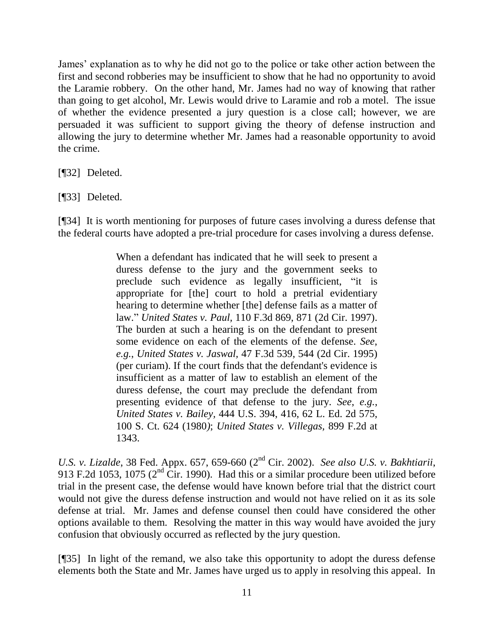James' explanation as to why he did not go to the police or take other action between the first and second robberies may be insufficient to show that he had no opportunity to avoid the Laramie robbery. On the other hand, Mr. James had no way of knowing that rather than going to get alcohol, Mr. Lewis would drive to Laramie and rob a motel. The issue of whether the evidence presented a jury question is a close call; however, we are persuaded it was sufficient to support giving the theory of defense instruction and allowing the jury to determine whether Mr. James had a reasonable opportunity to avoid the crime.

[¶32] Deleted.

[¶33] Deleted.

[¶34] It is worth mentioning for purposes of future cases involving a duress defense that the federal courts have adopted a pre-trial procedure for cases involving a duress defense.

> When a defendant has indicated that he will seek to present a duress defense to the jury and the government seeks to preclude such evidence as legally insufficient, "it is appropriate for [the] court to hold a pretrial evidentiary hearing to determine whether [the] defense fails as a matter of law." *United States v. Paul,* 110 F.3d 869, 871 (2d Cir. 1997). The burden at such a hearing is on the defendant to present some evidence on each of the elements of the defense. *See*, *e.g.*, *United States v. Jaswal,* 47 F.3d 539, 544 (2d Cir. 1995) (per curiam). If the court finds that the defendant's evidence is insufficient as a matter of law to establish an element of the duress defense, the court may preclude the defendant from presenting evidence of that defense to the jury. *See*, *e.g.*, *United States v. Bailey,* 444 U.S. 394, 416, 62 L. Ed. 2d 575, 100 S. Ct. 624 (1980*)*; *United States v. Villegas,* 899 F.2d at 1343.

*U.S. v. Lizalde*, 38 Fed. Appx. 657, 659-660 (2nd Cir. 2002). *See also U.S. v. Bakhtiarii*, 913 F.2d 1053, 1075 (2<sup>nd</sup> Cir. 1990). Had this or a similar procedure been utilized before trial in the present case, the defense would have known before trial that the district court would not give the duress defense instruction and would not have relied on it as its sole defense at trial. Mr. James and defense counsel then could have considered the other options available to them. Resolving the matter in this way would have avoided the jury confusion that obviously occurred as reflected by the jury question.

[¶35] In light of the remand, we also take this opportunity to adopt the duress defense elements both the State and Mr. James have urged us to apply in resolving this appeal. In